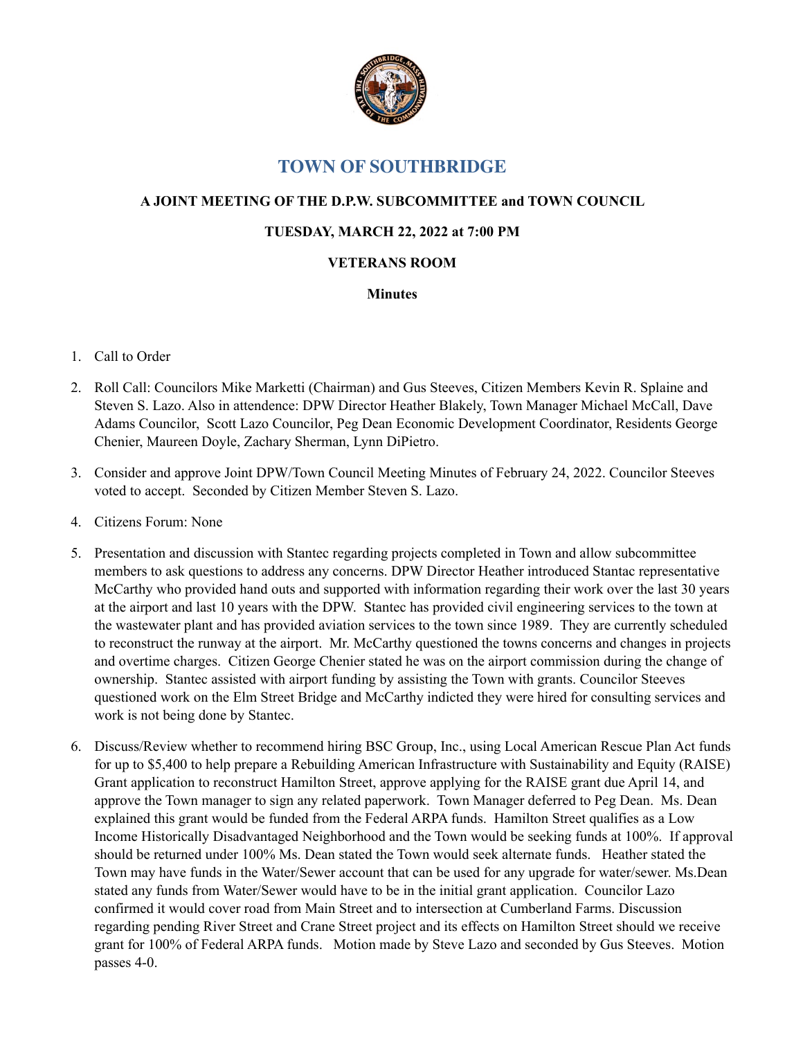

# **TOWN OF SOUTHBRIDGE**

## **A JOINT MEETING OF THE D.P.W. SUBCOMMITTEE and TOWN COUNCIL**

### **TUESDAY, MARCH 22, 2022 at 7:00 PM**

### **VETERANS ROOM**

#### **Minutes**

## 1. Call to Order

- 2. Roll Call: Councilors Mike Marketti (Chairman) and Gus Steeves, Citizen Members Kevin R. Splaine and Steven S. Lazo. Also in attendence: DPW Director Heather Blakely, Town Manager Michael McCall, Dave Adams Councilor, Scott Lazo Councilor, Peg Dean Economic Development Coordinator, Residents George Chenier, Maureen Doyle, Zachary Sherman, Lynn DiPietro.
- 3. Consider and approve Joint DPW/Town Council Meeting Minutes of February 24, 2022. Councilor Steeves voted to accept. Seconded by Citizen Member Steven S. Lazo.
- 4. Citizens Forum: None
- 5. Presentation and discussion with Stantec regarding projects completed in Town and allow subcommittee members to ask questions to address any concerns. DPW Director Heather introduced Stantac representative McCarthy who provided hand outs and supported with information regarding their work over the last 30 years at the airport and last 10 years with the DPW. Stantec has provided civil engineering services to the town at the wastewater plant and has provided aviation services to the town since 1989. They are currently scheduled to reconstruct the runway at the airport. Mr. McCarthy questioned the towns concerns and changes in projects and overtime charges. Citizen George Chenier stated he was on the airport commission during the change of ownership. Stantec assisted with airport funding by assisting the Town with grants. Councilor Steeves questioned work on the Elm Street Bridge and McCarthy indicted they were hired for consulting services and work is not being done by Stantec.
- 6. Discuss/Review whether to recommend hiring BSC Group, Inc., using Local American Rescue Plan Act funds for up to \$5,400 to help prepare a Rebuilding American Infrastructure with Sustainability and Equity (RAISE) Grant application to reconstruct Hamilton Street, approve applying for the RAISE grant due April 14, and approve the Town manager to sign any related paperwork. Town Manager deferred to Peg Dean. Ms. Dean explained this grant would be funded from the Federal ARPA funds. Hamilton Street qualifies as a Low Income Historically Disadvantaged Neighborhood and the Town would be seeking funds at 100%. If approval should be returned under 100% Ms. Dean stated the Town would seek alternate funds. Heather stated the Town may have funds in the Water/Sewer account that can be used for any upgrade for water/sewer. Ms.Dean stated any funds from Water/Sewer would have to be in the initial grant application. Councilor Lazo confirmed it would cover road from Main Street and to intersection at Cumberland Farms. Discussion regarding pending River Street and Crane Street project and its effects on Hamilton Street should we receive grant for 100% of Federal ARPA funds. Motion made by Steve Lazo and seconded by Gus Steeves. Motion passes 4-0.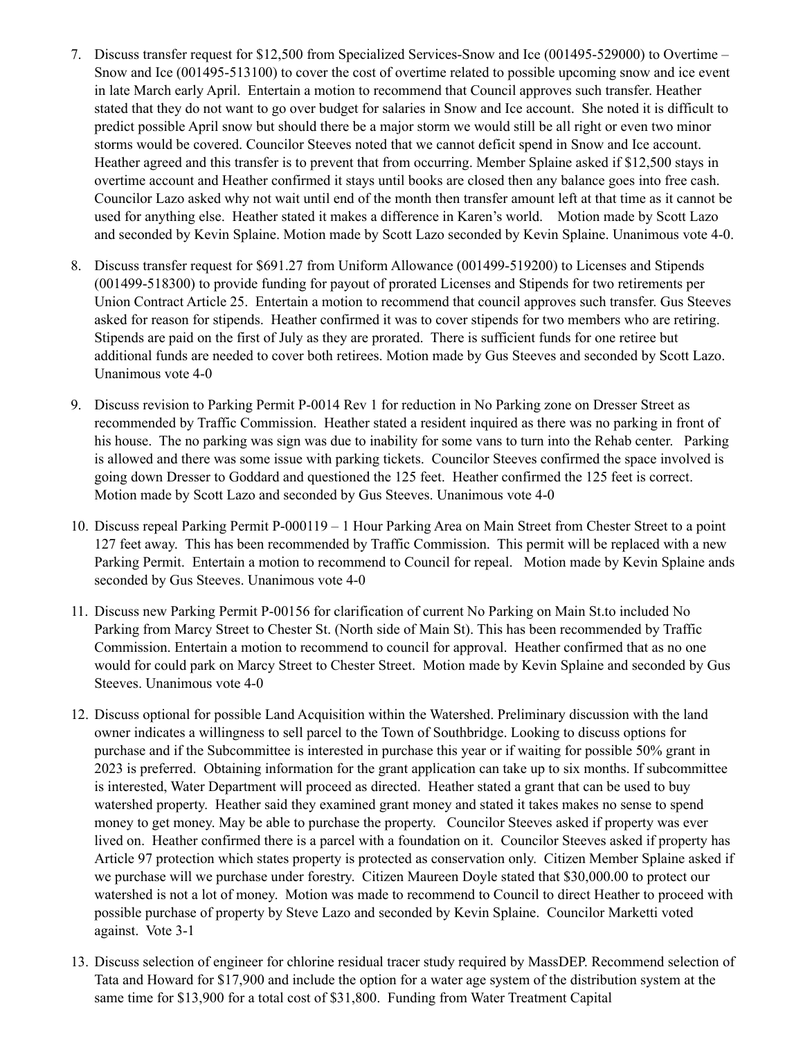- 7. Discuss transfer request for \$12,500 from Specialized Services-Snow and Ice (001495-529000) to Overtime Snow and Ice (001495-513100) to cover the cost of overtime related to possible upcoming snow and ice event in late March early April. Entertain a motion to recommend that Council approves such transfer. Heather stated that they do not want to go over budget for salaries in Snow and Ice account. She noted it is difficult to predict possible April snow but should there be a major storm we would still be all right or even two minor storms would be covered. Councilor Steeves noted that we cannot deficit spend in Snow and Ice account. Heather agreed and this transfer is to prevent that from occurring. Member Splaine asked if \$12,500 stays in overtime account and Heather confirmed it stays until books are closed then any balance goes into free cash. Councilor Lazo asked why not wait until end of the month then transfer amount left at that time as it cannot be used for anything else. Heather stated it makes a difference in Karen's world. Motion made by Scott Lazo and seconded by Kevin Splaine. Motion made by Scott Lazo seconded by Kevin Splaine. Unanimous vote 4-0.
- 8. Discuss transfer request for \$691.27 from Uniform Allowance (001499-519200) to Licenses and Stipends (001499-518300) to provide funding for payout of prorated Licenses and Stipends for two retirements per Union Contract Article 25. Entertain a motion to recommend that council approves such transfer. Gus Steeves asked for reason for stipends. Heather confirmed it was to cover stipends for two members who are retiring. Stipends are paid on the first of July as they are prorated. There is sufficient funds for one retiree but additional funds are needed to cover both retirees. Motion made by Gus Steeves and seconded by Scott Lazo. Unanimous vote 4-0
- 9. Discuss revision to Parking Permit P-0014 Rev 1 for reduction in No Parking zone on Dresser Street as recommended by Traffic Commission. Heather stated a resident inquired as there was no parking in front of his house. The no parking was sign was due to inability for some vans to turn into the Rehab center. Parking is allowed and there was some issue with parking tickets. Councilor Steeves confirmed the space involved is going down Dresser to Goddard and questioned the 125 feet. Heather confirmed the 125 feet is correct. Motion made by Scott Lazo and seconded by Gus Steeves. Unanimous vote 4-0
- 10. Discuss repeal Parking Permit P-000119 1 Hour Parking Area on Main Street from Chester Street to a point 127 feet away. This has been recommended by Traffic Commission. This permit will be replaced with a new Parking Permit. Entertain a motion to recommend to Council for repeal. Motion made by Kevin Splaine ands seconded by Gus Steeves. Unanimous vote 4-0
- 11. Discuss new Parking Permit P-00156 for clarification of current No Parking on Main St.to included No Parking from Marcy Street to Chester St. (North side of Main St). This has been recommended by Traffic Commission. Entertain a motion to recommend to council for approval. Heather confirmed that as no one would for could park on Marcy Street to Chester Street. Motion made by Kevin Splaine and seconded by Gus Steeves. Unanimous vote 4-0
- 12. Discuss optional for possible Land Acquisition within the Watershed. Preliminary discussion with the land owner indicates a willingness to sell parcel to the Town of Southbridge. Looking to discuss options for purchase and if the Subcommittee is interested in purchase this year or if waiting for possible 50% grant in 2023 is preferred. Obtaining information for the grant application can take up to six months. If subcommittee is interested, Water Department will proceed as directed. Heather stated a grant that can be used to buy watershed property. Heather said they examined grant money and stated it takes makes no sense to spend money to get money. May be able to purchase the property. Councilor Steeves asked if property was ever lived on. Heather confirmed there is a parcel with a foundation on it. Councilor Steeves asked if property has Article 97 protection which states property is protected as conservation only. Citizen Member Splaine asked if we purchase will we purchase under forestry. Citizen Maureen Doyle stated that \$30,000.00 to protect our watershed is not a lot of money. Motion was made to recommend to Council to direct Heather to proceed with possible purchase of property by Steve Lazo and seconded by Kevin Splaine. Councilor Marketti voted against. Vote 3-1
- 13. Discuss selection of engineer for chlorine residual tracer study required by MassDEP. Recommend selection of Tata and Howard for \$17,900 and include the option for a water age system of the distribution system at the same time for \$13,900 for a total cost of \$31,800. Funding from Water Treatment Capital